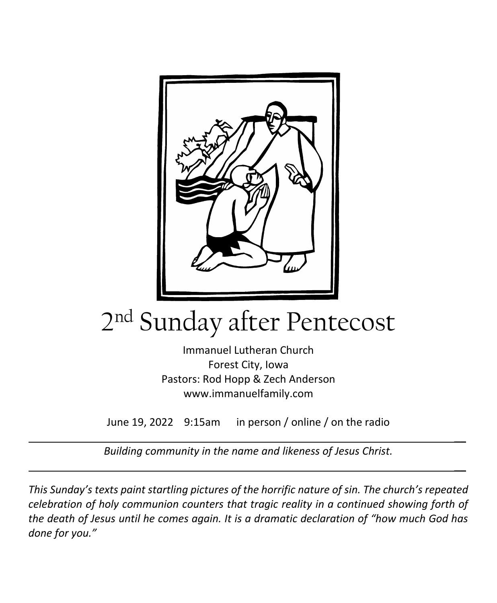

# 2 nd Sunday after Pentecost

Immanuel Lutheran Church Forest City, Iowa Pastors: Rod Hopp & Zech Anderson www.immanuelfamily.com

June 19, 2022 9:15am in person / online / on the radio

 $\overline{\phantom{a}}$ 

 $\overline{\phantom{a}}$ 

*Building community in the name and likeness of Jesus Christ.*

*This Sunday's texts paint startling pictures of the horrific nature of sin. The church's repeated celebration of holy communion counters that tragic reality in a continued showing forth of the death of Jesus until he comes again. It is a dramatic declaration of "how much God has done for you."*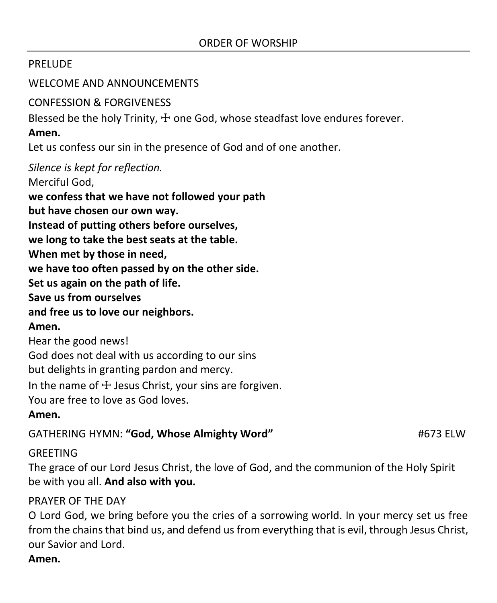# PRELUDE

WELCOME AND ANNOUNCEMENTS

CONFESSION & FORGIVENESS

Blessed be the holy Trinity,  $\pm$  one God, whose steadfast love endures forever.

**Amen.**

Let us confess our sin in the presence of God and of one another.

*Silence is kept for reflection.*

Merciful God,

**we confess that we have not followed your path**

**but have chosen our own way.**

**Instead of putting others before ourselves,**

**we long to take the best seats at the table.**

**When met by those in need,**

**we have too often passed by on the other side.**

**Set us again on the path of life.**

**Save us from ourselves**

#### **and free us to love our neighbors.**

#### **Amen.**

Hear the good news!

God does not deal with us according to our sins

but delights in granting pardon and mercy.

In the name of  $\pm$  Jesus Christ, your sins are forgiven.

You are free to love as God loves.

#### **Amen.**

GATHERING HYMN: **"God, Whose Almighty Word"** #673 ELW

# GREETING

The grace of our Lord Jesus Christ, the love of God, and the communion of the Holy Spirit be with you all. **And also with you.**

# PRAYER OF THE DAY

O Lord God, we bring before you the cries of a sorrowing world. In your mercy set us free from the chains that bind us, and defend us from everything that is evil, through Jesus Christ, our Savior and Lord.

**Amen.**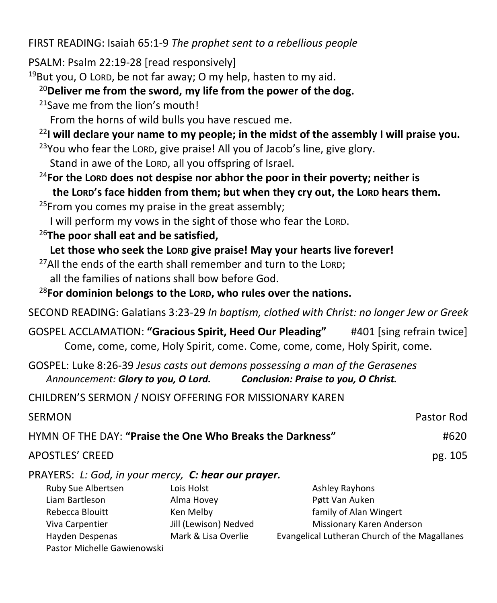FIRST READING: Isaiah 65:1-9 *The prophet sent to a rebellious people*

PSALM: Psalm 22:19-28 [read responsively]

 $19$ But you, O LORD, be not far away; O my help, hasten to my aid.

<sup>20</sup>**Deliver me from the sword, my life from the power of the dog.**

<sup>21</sup> Save me from the lion's mouth!

From the horns of wild bulls you have rescued me.

<sup>22</sup>**I will declare your name to my people; in the midst of the assembly I will praise you.**

 $23$ You who fear the LORD, give praise! All you of Jacob's line, give glory. Stand in awe of the LORD, all you offspring of Israel.

- <sup>24</sup>**For the LORD does not despise nor abhor the poor in their poverty; neither is the LORD's face hidden from them; but when they cry out, the LORD hears them.**
- $25$ From you comes my praise in the great assembly;

I will perform my vows in the sight of those who fear the LORD.

<sup>26</sup>**The poor shall eat and be satisfied,**

Pastor Michelle Gawienowski

Let those who seek the LORD give praise! May your hearts live forever!

<sup>27</sup>All the ends of the earth shall remember and turn to the LORD; all the families of nations shall bow before God.

<sup>28</sup>**For dominion belongs to the LORD, who rules over the nations.**

SECOND READING: Galatians 3:23-29 *In baptism, clothed with Christ: no longer Jew or Greek*

GOSPEL ACCLAMATION: **"Gracious Spirit, Heed Our Pleading"** #401 [sing refrain twice] Come, come, come, Holy Spirit, come. Come, come, come, Holy Spirit, come.

GOSPEL: Luke 8:26-39 *Jesus casts out demons possessing a man of the Gerasenes Announcement: Glory to you, O Lord. Conclusion: Praise to you, O Christ.*

CHILDREN'S SERMON / NOISY OFFERING FOR MISSIONARY KAREN

| SERMON                                                    |                       |                           | Pastor Rod |  |  |
|-----------------------------------------------------------|-----------------------|---------------------------|------------|--|--|
| HYMN OF THE DAY: "Praise the One Who Breaks the Darkness" |                       |                           |            |  |  |
| APOSTLES' CREED                                           |                       |                           | pg. 105    |  |  |
| PRAYERS: L: God, in your mercy, C: hear our prayer.       |                       |                           |            |  |  |
| Ruby Sue Albertsen                                        | Lois Holst            | <b>Ashley Rayhons</b>     |            |  |  |
| Liam Bartleson                                            | Alma Hovey            | Pøtt Van Auken            |            |  |  |
| Rebecca Blouitt                                           | Ken Melby             | family of Alan Wingert    |            |  |  |
| Viva Carpentier                                           | Jill (Lewison) Nedved | Missionary Karen Anderson |            |  |  |

Hayden Despenas Mark & Lisa Overlie Evangelical Lutheran Church of the Magallanes